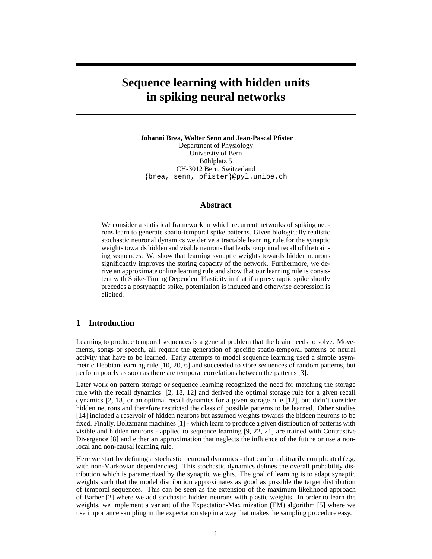# **Sequence learning with hidden units in spiking neural networks**

**Johanni Brea, Walter Senn and Jean-Pascal Pfister** Department of Physiology University of Bern Bühlplatz 5 CH-3012 Bern, Switzerland {brea, senn, pfister}@pyl.unibe.ch

# **Abstract**

We consider a statistical framework in which recurrent networks of spiking neurons learn to generate spatio-temporal spike patterns. Given biologically realistic stochastic neuronal dynamics we derive a tractable learning rule for the synaptic weights towards hidden and visible neurons that leads to optimal recall of the training sequences. We show that learning synaptic weights towards hidden neurons significantly improves the storing capacity of the network. Furthermore, we derive an approximate online learning rule and show that our learning rule is consistent with Spike-Timing Dependent Plasticity in that if a presynaptic spike shortly precedes a postynaptic spike, potentiation is induced and otherwise depression is elicited.

## **1 Introduction**

Learning to produce temporal sequences is a general problem that the brain needs to solve. Movements, songs or speech, all require the generation of specific spatio-temporal patterns of neural activity that have to be learned. Early attempts to model sequence learning used a simple asymmetric Hebbian learning rule [10, 20, 6] and succeeded to store sequences of random patterns, but perform poorly as soon as there are temporal correlations between the patterns [3].

Later work on pattern storage or sequence learning recognized the need for matching the storage rule with the recall dynamics [2, 18, 12] and derived the optimal storage rule for a given recall dynamics [2, 18] or an optimal recall dynamics for a given storage rule [12], but didn't consider hidden neurons and therefore restricted the class of possible patterns to be learned. Other studies [14] included a reservoir of hidden neurons but assumed weights towards the hidden neurons to be fixed. Finally, Boltzmann machines [1] - which learn to produce a given distribution of patterns with visible and hidden neurons - applied to sequence learning [9, 22, 21] are trained with Contrastive Divergence [8] and either an approximation that neglects the influence of the future or use a nonlocal and non-causal learning rule.

Here we start by defining a stochastic neuronal dynamics - that can be arbitrarily complicated (e.g. with non-Markovian dependencies). This stochastic dynamics defines the overall probability distribution which is parametrized by the synaptic weights. The goal of learning is to adapt synaptic weights such that the model distribution approximates as good as possible the target distribution of temporal sequences. This can be seen as the extension of the maximum likelihood approach of Barber [2] where we add stochastic hidden neurons with plastic weights. In order to learn the weights, we implement a variant of the Expectation-Maximization (EM) algorithm [5] where we use importance sampling in the expectation step in a way that makes the sampling procedure easy.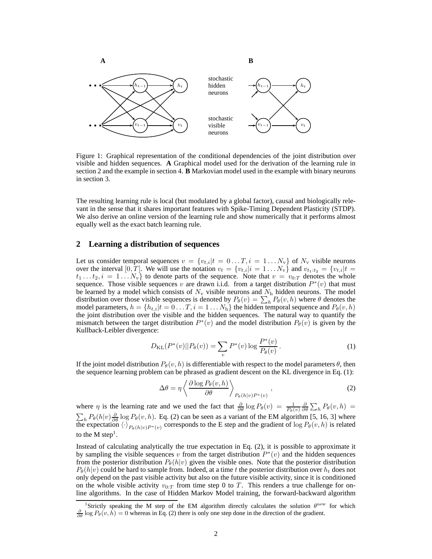

Figure 1: Graphical representation of the conditional dependencies of the joint distribution over visible and hidden sequences. **A** Graphical model used for the derivation of the learning rule in section 2 and the example in section 4. **B** Markovian model used in the example with binary neurons in section 3.

The resulting learning rule is local (but modulated by a global factor), causal and biologically relevant in the sense that it shares important features with Spike-Timing Dependent Plasticity (STDP). We also derive an online version of the learning rule and show numerically that it performs almost equally well as the exact batch learning rule.

## **2 Learning a distribution of sequences**

Let us consider temporal sequences  $v = \{v_{t,i}|t = 0...T, i = 1...N_v\}$  of  $N_v$  visible neurons over the interval [0, T]. We will use the notation  $v_t = \{v_{t,i}|i = 1...N_v\}$  and  $v_{t_1:t_2} = \{v_{t,i}|t = 1,...,N_v\}$  $t_1 \ldots t_2$ ,  $i = 1 \ldots N_v$  to denote parts of the sequence. Note that  $v = v_{0:T}$  denotes the whole sequence. Those visible sequences v are drawn i.i.d. from a target distribution  $P^*(v)$  that must be learned by a model which consists of  $N_v$  visible neurons and  $N_h$  hidden neurons. The model distribution over those visible sequences is denoted by  $P_{\theta}(v) = \sum_{h} P_{\theta}(v, h)$  where  $\theta$  denotes the model parameters,  $h = \{h_{t,i}|t = 0 \dots T, i = 1 \dots N_h\}$  the hidden temporal sequence and  $P_{\theta}(v, h)$ the joint distribution over the visible and the hidden sequences. The natural way to quantify the mismatch between the target distribution  $P^*(v)$  and the model distribution  $P_{\theta}(v)$  is given by the Kullback-Leibler divergence:

$$
D_{\text{KL}}(P^*(v) || P_{\theta}(v)) = \sum_{v} P^*(v) \log \frac{P^*(v)}{P_{\theta}(v)}.
$$
 (1)

If the joint model distribution  $P_{\theta}(v, h)$  is differentiable with respect to the model parameters  $\theta$ , then the sequence learning problem can be phrased as gradient descent on the KL divergence in Eq. (1):

$$
\Delta \theta = \eta \left\langle \frac{\partial \log P_{\theta}(v, h)}{\partial \theta} \right\rangle_{P_{\theta}(h|v)P^*(v)}, \qquad (2)
$$

where  $\eta$  is the learning rate and we used the fact that  $\frac{\partial}{\partial \theta} \log P_{\theta}(v) = \frac{1}{P_{\theta}(v)} \frac{\partial}{\partial \theta} \sum_{h} P_{\theta}(v, h) =$  $\sum_h P_\theta(h|v) \frac{\partial}{\partial \theta} \log P_\theta(v, h)$ . Eq. (2) can be seen as a variant of the EM algorithm [5, 16, 3] where the expectation  $\langle \cdot \rangle_{P_{\theta}(h|v)P^*(v)}$  corresponds to the E step and the gradient of log  $P_{\theta}(v, h)$  is related to the M step<sup>1</sup>.

Instead of calculating analytically the true expectation in Eq. (2), it is possible to approximate it by sampling the visible sequences v from the target distribution  $P^*(v)$  and the hidden sequences from the posterior distribution  $P_{\theta}(h|v)$  given the visible ones. Note that the posterior distribution  $P_{\theta}(h|v)$  could be hard to sample from. Indeed, at a time t the posterior distribution over  $h_t$  does not only depend on the past visible activity but also on the future visible activity, since it is conditioned on the whole visible activity  $v_{0:T}$  from time step 0 to T. This renders a true challenge for online algorithms. In the case of Hidden Markov Model training, the forward-backward algorithm

<sup>&</sup>lt;sup>1</sup>Strictly speaking the M step of the EM algorithm directly calculates the solution  $\theta^{\text{new}}$  for which  $\frac{\partial}{\partial \theta}$  log  $P_{\theta}(v, h) = 0$  whereas in Eq. (2) there is only one step done in the direction of the gradient.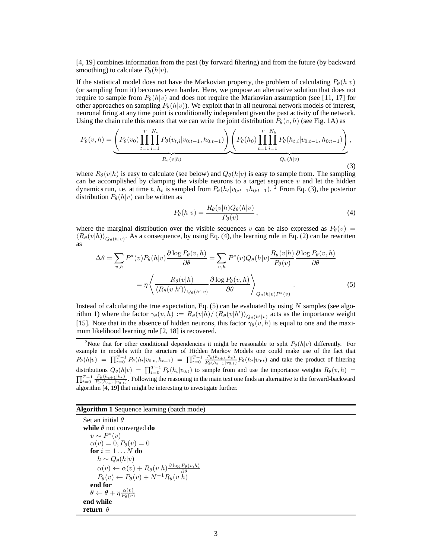[4, 19] combines information from the past (by forward filtering) and from the future (by backward smoothing) to calculate  $P_{\theta}(h|v)$ .

If the statistical model does not have the Markovian property, the problem of calculating  $P_{\theta}(h|v)$ (or sampling from it) becomes even harder. Here, we propose an alternative solution that does not require to sample from  $P_{\theta}(h|v)$  and does not require the Markovian assumption (see [11, 17] for other approaches on sampling  $P_{\theta}(h|v)$ . We exploit that in all neuronal network models of interest, neuronal firing at any time point is conditionally independent given the past activity of the network. Using the chain rule this means that we can write the joint distribution  $P_{\theta}(v, h)$  (see Fig. 1A) as

$$
P_{\theta}(v,h) = \underbrace{\left(P_{\theta}(v_0) \prod_{t=1}^T \prod_{i=1}^{N_v} P_{\theta}(v_{t,i}|v_{0:t-1}, h_{0:t-1})\right)}_{R_{\theta}(v|h)} \underbrace{\left(P_{\theta}(h_0) \prod_{t=1}^T \prod_{i=1}^{N_h} P_{\theta}(h_{t,i}|v_{0:t-1}, h_{0:t-1})\right)}_{Q_{\theta}(h|v)},
$$
\n(3)

where  $R_{\theta}(v|h)$  is easy to calculate (see below) and  $Q_{\theta}(h|v)$  is easy to sample from. The sampling can be accomplished by clamping the visible neurons to a target sequence  $v$  and let the hidden dynamics run, i.e. at time t,  $h_t$  is sampled from  $P_{\theta}(h_t|v_{0:t-1}h_{0:t-1})$ . <sup>2</sup> From Eq. (3), the posterior distribution  $P_{\theta}(h|v)$  can be written as

$$
P_{\theta}(h|v) = \frac{R_{\theta}(v|h)Q_{\theta}(h|v)}{P_{\theta}(v)},
$$
\n(4)

where the marginal distribution over the visible sequences v can be also expressed as  $P_{\theta}(v)$  =  $\langle R_{\theta}(v|h) \rangle_{Q_{\theta}(h|v)}$ . As a consequence, by using Eq. (4), the learning rule in Eq. (2) can be rewritten as

$$
\Delta \theta = \sum_{v,h} P^*(v) P_{\theta}(h|v) \frac{\partial \log P_{\theta}(v,h)}{\partial \theta} = \sum_{v,h} P^*(v) Q_{\theta}(h|v) \frac{R_{\theta}(v|h)}{P_{\theta}(v)} \frac{\partial \log P_{\theta}(v,h)}{\partial \theta}
$$

$$
= \eta \left\langle \frac{R_{\theta}(v|h)}{\langle R_{\theta}(v|h') \rangle_{Q_{\theta}(h'|v)}} \frac{\partial \log P_{\theta}(v,h)}{\partial \theta} \right\rangle_{Q_{\theta}(h|v) P^*(v)}.
$$
(5)

Instead of calculating the true expectation, Eq.  $(5)$  can be evaluated by using N samples (see algorithm 1) where the factor  $\gamma_{\theta}(v,\bar{h}) := R_{\theta}(v|\bar{h}) / \langle R_{\theta}(v|h') \rangle_{Q_{\theta}(h'|v)}$  acts as the importance weight [15]. Note that in the absence of hidden neurons, this factor  $\gamma_{\theta}(v, h)$  is equal to one and the maximum likelihood learning rule [2, 18] is recovered.

#### **Algorithm 1** Sequence learning (batch mode)

Set an initial  $\theta$ **while**  $\theta$  not converged **do**  $v \sim P^*(v)$  $\alpha(v) = 0, P_{\theta}(v) = 0$ **for**  $i = 1...N$  **do**  $h \sim Q_{\theta}(h|v)$  $\alpha(v) \leftarrow \alpha(v) + R_{\theta}(v|h) \frac{\partial \log P_{\theta}(v,h)}{\partial \theta}$ <br>  $P_{\theta}(v) \leftarrow P_{\theta}(v) + N^{-1}R_{\theta}(v|h)$ **end for**  $\theta \leftarrow \theta + \eta \frac{\alpha(v)}{P_{\alpha}(v)}$  $P_\theta(v)$ **end while return** θ

<sup>&</sup>lt;sup>2</sup>Note that for other conditional dependencies it might be reasonable to split  $P_{\theta}(h|v)$  differently. For example in models with the structure of Hidden Markov Models one could make use of the fact that  $P_{\theta}(h|v) = \prod_{t=0}^{T-1} P_{\theta}(h_t|v_{0:t}, h_{t+1}) = \prod_{t=0}^{T-1} \frac{P_{\theta}(h_{t+1}|h_t)}{P_{\theta}(h_{t+1}|v_{0:t})} P_{\theta}(h_t|v_{0:t})$  and take the product of filtering distributions  $Q_{\theta}(h|v) = \prod_{t=0}^{T-1} P_{\theta}(h_t|v_{0:t})$  to sample from and use the importance weights  $R_{\theta}(v, h)$  $\prod_{t=0}^{T-1} \frac{P_{\theta}(h_{t+1}|h_t)}{P_{\theta}(h_{t+1}|v_{0:t})}$ . Following the reasoning in the main text one finds an alternative to the forward-backward algorithm [4, 19] that might be interesting to investigate further.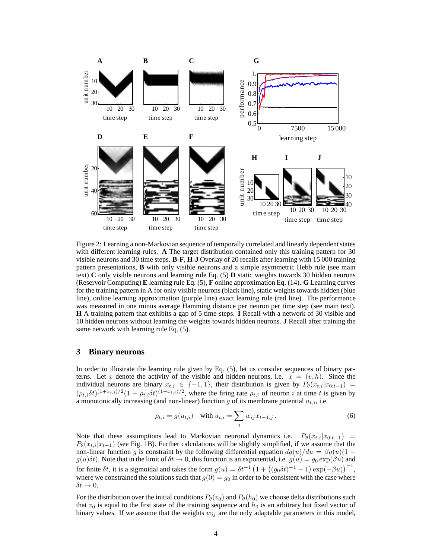

Figure 2: Learning a non-Markovian sequence of temporally correlated and linearly dependent states with different learning rules. **A** The target distribution contained only this training pattern for 30 visible neurons and 30 time steps. **B**-**F**, **H**-**J** Overlay of 20 recalls after learning with 15 000 training pattern presentations, **B** with only visible neurons and a simple asymmetric Hebb rule (see main text) **C** only visible neurons and learning rule Eq. (5) **D** static weights towards 30 hidden neurons (Reservoir Computing) **E** learning rule Eq. (5), **F** online approximation Eq. (14). **G** Learning curves for the training pattern in A for only visible neurons (black line), static weights towards hidden (blue line), online learning approximation (purple line) exact learning rule (red line). The performance was measured in one minus average Hamming distance per neuron per time step (see main text). **H** A training pattern that exhibits a gap of 5 time-steps. **I** Recall with a network of 30 visible and 10 hidden neurons without learning the weights towards hidden neurons. **J** Recall after training the same network with learning rule Eq. (5).

## **3 Binary neurons**

In order to illustrate the learning rule given by Eq. (5), let us consider sequences of binary patterns. Let x denote the activity of the visible and hidden neurons, i.e.  $x = (v, h)$ . Since the individual neurons are binary  $x_{t,i} \in \{-1,1\}$ , their distribution is given by  $P_{\theta}(x_{t,i}|x_{0:t-1}) =$  $(\rho_{t,i}\delta t)^{(1+x_{t,i})/2}(1-\rho_{t,i}\delta t)^{(1-x_{t,i})/2}$ , where the firing rate  $\rho_{t,i}$  of neuron *i* at time *t* is given by a monotonically increasing (and non-linear) function g of its membrane potential  $u_{t,i}$ , i.e.

$$
\rho_{t,i} = g(u_{t,i}) \quad \text{with } u_{t,i} = \sum_{j} w_{ij} x_{t-1,j} \,. \tag{6}
$$

Note that these assumptions lead to Markovian neuronal dynamics i.e.  $P_{\theta}(x_{t,i}|x_{0:t-1})$  =  $P_{\theta}(x_{t,i}|x_{t-1})$  (see Fig. 1B). Further calculations will be slightly simplified, if we assume that the non-linear function g is constraint by the following differential equation  $dg(u)/du = \beta g(u)(1$  $g(u)\delta t$ ). Note that in the limit of  $\delta t \to 0$ , this function is an exponential, i.e.  $g(u) = g_0 \exp(\beta u)$  and for finite  $\delta t$ , it is a sigmoidal and takes the form  $g(u) = \delta t^{-1} \left( 1 + ((g_0 \delta t)^{-1} - 1) \exp(-\beta u) \right)^{-1}$ , where we constrained the solutions such that  $g(0) = g_0$  in order to be consistent with the case where  $\delta t \rightarrow 0$ .

For the distribution over the initial conditions  $P_\theta(v_0)$  and  $P_\theta(h_0)$  we choose delta distributions such that  $v_0$  is equal to the first state of the training sequence and  $h_0$  is an arbitrary but fixed vector of binary values. If we assume that the weights  $w_{ij}$  are the only adaptable parameters in this model,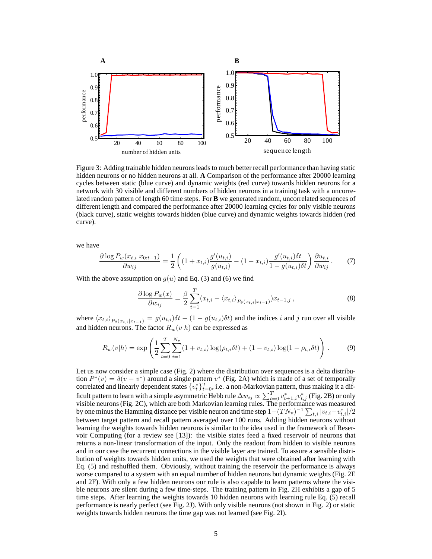

Figure 3: Adding trainable hidden neurons leads to much better recall performance than having static hidden neurons or no hidden neurons at all. **A** Comparison of the performance after 20000 learning cycles between static (blue curve) and dynamic weights (red curve) towards hidden neurons for a network with 30 visible and different numbers of hidden neurons in a training task with a uncorrelated random pattern of length 60 time steps. For **B** we generated random, uncorrelated sequences of different length and compared the performance after 20000 learning cycles for only visible neurons (black curve), static weights towards hidden (blue curve) and dynamic weights towards hidden (red curve).

we have

$$
\frac{\partial \log P_w(x_{t,i}|x_{0:t-1})}{\partial w_{ij}} = \frac{1}{2} \left( (1+x_{t,i}) \frac{g'(u_{t,i})}{g(u_{t,i})} - (1-x_{t,i}) \frac{g'(u_{t,i})\delta t}{1-g(u_{t,i})\delta t} \right) \frac{\partial u_{t,i}}{\partial w_{ij}}.
$$
(7)

With the above assumption on  $g(u)$  and Eq. (3) and (6) we find

$$
\frac{\partial \log P_w(x)}{\partial w_{ij}} = \frac{\beta}{2} \sum_{t=1}^T (x_{t,i} - \langle x_{t,i} \rangle_{P_\theta(x_{t,i}|x_{t-1})}) x_{t-1,j},
$$
\n(8)

where  $\langle x_{t,i} \rangle_{P_{\theta}(x_{t,i}|x_{t-1})} = g(u_{t,i})\delta t - (1 - g(u_{t,i})\delta t)$  and the indices i and j run over all visible and hidden neurons. The factor  $R_w(v|h)$  can be expressed as

$$
R_w(v|h) = \exp\left(\frac{1}{2}\sum_{t=0}^T \sum_{i=1}^{N_v} (1 + v_{t,i})\log(\rho_{t,i}\delta t) + (1 - v_{t,i})\log(1 - \rho_{t,i}\delta t)\right).
$$
(9)

Let us now consider a simple case (Fig. 2) where the distribution over sequences is a delta distribution  $P^*(v) = \delta(v - v^*)$  around a single pattern  $v^*$  (Fig. 2A) which is made of a set of temporally correlated and linearly dependent states  $\{\tilde{v}_t^*\}_{t=0}^T$ , i.e. a non-Markovian pattern, thus making it a difficult pattern to learn with a simple asymmetric Hebb rule  $\Delta w_{ij} \propto \sum_{t=0}^T v_{t+1,i}^* v_{t,j}^*$  (Fig. 2B) or only visible neurons (Fig. 2C), which are both Markovian learning rules. The performance was measured by one minus the Hamming distance per visible neuron and time step  $1-(TN_v)^{-1}\sum_{t,i}|v_{t,i}-v_{t,i}^*|/2$ between target pattern and recall pattern averaged over 100 runs. Adding hidden neurons without learning the weights towards hidden neurons is similar to the idea used in the framework of Reservoir Computing (for a review see [13]): the visible states feed a fixed reservoir of neurons that returns a non-linear transformation of the input. Only the readout from hidden to visible neurons and in our case the recurrent connections in the visible layer are trained. To assure a sensible distribution of weights towards hidden units, we used the weights that were obtained after learning with Eq. (5) and reshuffled them. Obviously, without training the reservoir the performance is always worse compared to a system with an equal number of hidden neurons but dynamic weights (Fig. 2E and 2F). With only a few hidden neurons our rule is also capable to learn patterns where the visible neurons are silent during a few time-steps. The training pattern in Fig. 2H exhibits a gap of 5 time steps. After learning the weights towards 10 hidden neurons with learning rule Eq. (5) recall performance is nearly perfect (see Fig. 2J). With only visible neurons (not shown in Fig. 2) or static weights towards hidden neurons the time gap was not learned (see Fig. 2I).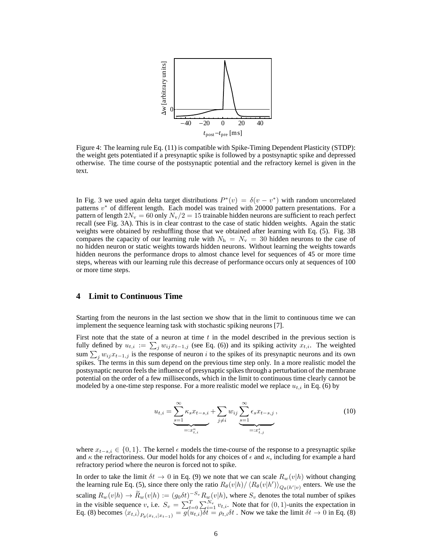

Figure 4: The learning rule Eq. (11) is compatible with Spike-Timing Dependent Plasticity (STDP): the weight gets potentiated if a presynaptic spike is followed by a postsynaptic spike and depressed otherwise. The time course of the postsynaptic potential and the refractory kernel is given in the text.

In Fig. 3 we used again delta target distributions  $P^*(v) = \delta(v - v^*)$  with random uncorrelated patterns  $v^*$  of different length. Each model was trained with 20000 pattern presentations. For a pattern of length  $2N_v = 60$  only  $N_v/2 = 15$  trainable hidden neurons are sufficient to reach perfect recall (see Fig. 3A). This is in clear contrast to the case of static hidden weights. Again the static weights were obtained by reshuffling those that we obtained after learning with Eq. (5). Fig. 3B compares the capacity of our learning rule with  $N_h = N_v = 30$  hidden neurons to the case of no hidden neuron or static weights towards hidden neurons. Without learning the weights towards hidden neurons the performance drops to almost chance level for sequences of 45 or more time steps, whereas with our learning rule this decrease of performance occurs only at sequences of 100 or more time steps.

## **4 Limit to Continuous Time**

Starting from the neurons in the last section we show that in the limit to continuous time we can implement the sequence learning task with stochastic spiking neurons [7].

First note that the state of a neuron at time  $t$  in the model described in the previous section is fully defined by  $u_{t,i} := \sum_j w_{ij} x_{t-1,j}$  (see Eq. (6)) and its spiking activity  $x_{t,i}$ . The weighted sum  $\sum_j w_{ij}x_{t-1,j}$  is the response of neuron i to the spikes of its presynaptic neurons and its own spikes. The terms in this sum depend on the previous time step only. In a more realistic model the postsynaptic neuron feels the influence of presynaptic spikes through a perturbation of the membrane potential on the order of a few milliseconds, which in the limit to continuous time clearly cannot be modeled by a one-time step response. For a more realistic model we replace  $u_{t,i}$  in Eq. (6) by

$$
u_{t,i} = \underbrace{\sum_{s=1}^{\infty} \kappa_s x_{t-s,i}}_{=:x_{t,i}^{\kappa}} + \sum_{j \neq i} w_{ij} \underbrace{\sum_{s=1}^{\infty} \epsilon_s x_{t-s,j}}_{=:x_{t,j}^{\kappa}},
$$
 (10)

where  $x_{t-s,i} \in \{0,1\}$ . The kernel  $\epsilon$  models the time-course of the response to a presynaptic spike and  $\kappa$  the refractoriness. Our model holds for any choices of  $\epsilon$  and  $\kappa$ , including for example a hard refractory period where the neuron is forced not to spike.

In order to take the limit  $\delta t \to 0$  in Eq. (9) we note that we can scale  $R_w(v|h)$  without changing the learning rule Eq. (5), since there only the ratio  $R_{\theta}(v|h)/\langle R_{\theta}(v|h')\rangle_{Q_{\theta}(h'|v)}$  enters. We use the scaling  $R_w(v|h) \to R_w(v|h) := (g_0 \delta t)^{-S_v} R_w(v|h)$ , where  $S_v$  denotes the total number of spikes in the visible sequence v, i.e.  $S_v = \sum_{t=0}^{T} \sum_{i=1}^{N_v} v_{t,i}$ . Note that for  $(0, 1)$ -units the expectation in Eq. (8) becomes  $\langle x_{t,i} \rangle_{P_{\theta}(x_{t,i}|x_{t-1})} = g(u_{t,i})\delta t = \rho_{t,i}\delta t$ . Now we take the limit  $\delta t \to 0$  in Eq. (8)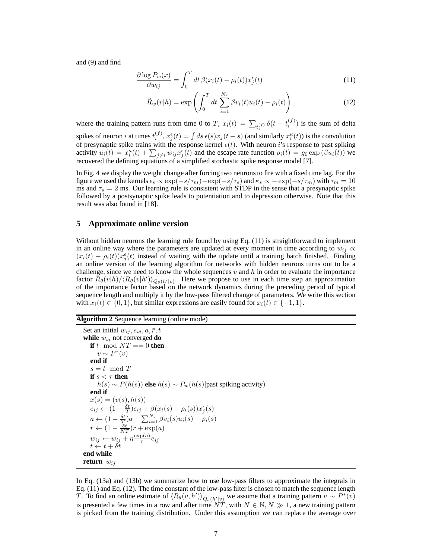and (9) and find

$$
\frac{\partial \log P_w(x)}{\partial w_{ij}} = \int_0^T dt \,\beta(x_i(t) - \rho_i(t))x_j^\epsilon(t) \tag{11}
$$

$$
\widetilde{R}_w(v|h) = \exp\left(\int_0^T dt \sum_{i=1}^{N_v} \beta v_i(t) u_i(t) - \rho_i(t)\right),\tag{12}
$$

where the training pattern runs from time 0 to T,  $x_i(t) = \sum_{t_i^{(f)}} \delta(t - t_i^{(f)})$  is the sum of delta spikes of neuron i at times  $t_i^{(f)}$ ,  $x_j^{\epsilon}(t) = \int ds \, \epsilon(s) x_j(t-s)$  (and similarly  $x_i^{\kappa}(t)$ ) is the convolution of presynaptic spike trains with the response kernel  $\epsilon(t)$ . With neuron i's response to past spiking activity  $u_i(t) = x_i^{\kappa}(t) + \sum_{j \neq i} w_{ij} x_j^{\epsilon}(t)$  and the escape rate function  $\rho_i(t) = g_0 \exp(\beta u_i(t))$  we recovered the defining equations of a simplified stochastic spike response model [7].

In Fig. 4 we display the weight change after forcing two neurons to fire with a fixed time lag. For the figure we used the kernels  $\epsilon_s \propto \exp(-s/\tau_m) - \exp(-s/\tau_s)$  and  $\kappa_s \propto -\exp(-s/\tau_m)$  with  $\tau_m = 10$ ms and  $\tau_s = 2$  ms. Our learning rule is consistent with STDP in the sense that a presynaptic spike followed by a postsynaptic spike leads to potentiation and to depression otherwise. Note that this result was also found in [18].

#### **5 Approximate online version**

Without hidden neurons the learning rule found by using Eq. (11) is straightforward to implement in an online way where the parameters are updated at every moment in time according to  $\dot{w}_{ij} \propto$  $(x_i(t) - \rho_i(t))x_j^{\epsilon}(t)$  instead of waiting with the update until a training batch finished. Finding an online version of the learning algorithm for networks with hidden neurons turns out to be a challenge, since we need to know the whole sequences  $v$  and  $h$  in order to evaluate the importance factor  $\hat{R}_{\theta}(v|h)/\langle R_{\theta}(v|h')\rangle_{Q_{\theta}(h'|v)}$ . Here we propose to use in each time step an approximation of the importance factor based on the network dynamics during the preceding period of typical sequence length and multiply it by the low-pass filtered change of parameters. We write this section with  $x_i(t) \in \{0,1\}$ , but similar expressions are easily found for  $x_i(t) \in \{-1,1\}$ .

#### **Algorithm 2** Sequence learning (online mode)

```
Set an initial w_{ij}, e_{ij}, a, \bar{r}, twhile w_{ij} not converged do
   if t \mod NT == 0 then
        v \sim P^*(v)end if
   s = t \mod Tif s < \tau then
       h(s) ∼ P(h(s)) else h(s) ∼ Pw(h(s)|past spiking activity)
   end if
   x(s) = (v(s), h(s))e_{ij} \leftarrow (1 - \frac{\delta t}{T})e_{ij} + \beta(x_i(s) - \rho_i(s))x_j^{\epsilon}(s)a \leftarrow (1 - \frac{\delta t}{T})a + \sum_{i=1}^{N_v} \beta v_i(s) u_i(s) - \rho_i(s)\bar{r} \leftarrow (1 - \frac{\delta t}{NT})\bar{r} + \exp(a)w_{ij} \leftarrow w_{ij} + \eta \frac{\exp(a)}{\bar{r}}\frac{\partial(a)}{\bar{r}}e_{ij}t \leftarrow t + \delta tend while
return w_{ij}
```
In Eq. (13a) and (13b) we summarize how to use low-pass filters to approximate the integrals in Eq. (11) and Eq. (12). The time constant of the low-pass filter is chosen to match the sequence length T. To find an online estimate of  $\langle R_{\theta}(v, h') \rangle_{Q_{\theta}(h'|v)}$  we assume that a training pattern  $v \sim P^*(v)$ is presented a few times in a row and after time  $NT$ , with  $N \in \mathbb{N}, N \gg 1$ , a new training pattern is picked from the training distribution. Under this assumption we can replace the average over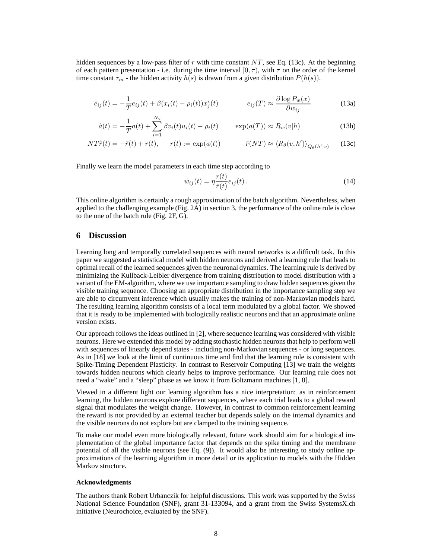hidden sequences by a low-pass filter of r with time constant  $NT$ , see Eq. (13c). At the beginning of each pattern presentation - i.e. during the time interval [0,  $\tau$ ), with  $\tau$  on the order of the kernel time constant  $\tau_m$  - the hidden activity  $h(s)$  is drawn from a given distribution  $P(h(s))$ .

$$
\dot{e}_{ij}(t) = -\frac{1}{T}e_{ij}(t) + \beta(x_i(t) - \rho_i(t))x_j^{\epsilon}(t) \qquad \qquad e_{ij}(T) \approx \frac{\partial \log P_w(x)}{\partial w_{ij}} \qquad (13a)
$$

$$
\dot{a}(t) = -\frac{1}{T}a(t) + \sum_{i=1}^{N_v} \beta v_i(t)u_i(t) - \rho_i(t) \qquad \exp(a(T)) \approx R_w(v|h)
$$
\n(13b)

$$
NT\dot{\bar{r}}(t) = -\bar{r}(t) + r(t), \qquad r(t) := \exp(a(t)) \qquad \qquad \bar{r}(NT) \approx \langle R_{\theta}(v, h') \rangle_{Q_{\theta}(h'|v)} \tag{13c}
$$

Finally we learn the model parameters in each time step according to

$$
\dot{w}_{ij}(t) = \eta \frac{r(t)}{\bar{r}(t)} e_{ij}(t). \tag{14}
$$

This online algorithm is certainly a rough approximation of the batch algorithm. Nevertheless, when applied to the challenging example (Fig. 2A) in section 3, the performance of the online rule is close to the one of the batch rule (Fig. 2F, G).

#### **6 Discussion**

Learning long and temporally correlated sequences with neural networks is a difficult task. In this paper we suggested a statistical model with hidden neurons and derived a learning rule that leads to optimal recall of the learned sequences given the neuronal dynamics. The learning rule is derived by minimizing the Kullback-Leibler divergence from training distribution to model distribution with a variant of the EM-algorithm, where we use importance sampling to draw hidden sequences given the visible training sequence. Choosing an appropriate distribution in the importance sampling step we are able to circumvent inference which usually makes the training of non-Markovian models hard. The resulting learning algorithm consists of a local term modulated by a global factor. We showed that it is ready to be implemented with biologically realistic neurons and that an approximate online version exists.

Our approach follows the ideas outlined in [2], where sequence learning was considered with visible neurons. Here we extended this model by adding stochastic hidden neurons that help to perform well with sequences of linearly depend states - including non-Markovian sequences - or long sequences. As in [18] we look at the limit of continuous time and find that the learning rule is consistent with Spike-Timing Dependent Plasticity. In contrast to Reservoir Computing [13] we train the weights towards hidden neurons which clearly helps to improve performance. Our learning rule does not need a "wake" and a "sleep" phase as we know it from Boltzmann machines [1, 8].

Viewed in a different light our learning algorithm has a nice interpretation: as in reinforcement learning, the hidden neurons explore different sequences, where each trial leads to a global reward signal that modulates the weight change. However, in contrast to common reinforcement learning the reward is not provided by an external teacher but depends solely on the internal dynamics and the visible neurons do not explore but are clamped to the training sequence.

To make our model even more biologically relevant, future work should aim for a biological implementation of the global importance factor that depends on the spike timing and the membrane potential of all the visible neurons (see Eq. (9)). It would also be interesting to study online approximations of the learning algorithm in more detail or its application to models with the Hidden Markov structure.

#### **Acknowledgments**

The authors thank Robert Urbanczik for helpful discussions. This work was supported by the Swiss National Science Foundation (SNF), grant 31-133094, and a grant from the Swiss SystemsX.ch initiative (Neurochoice, evaluated by the SNF).